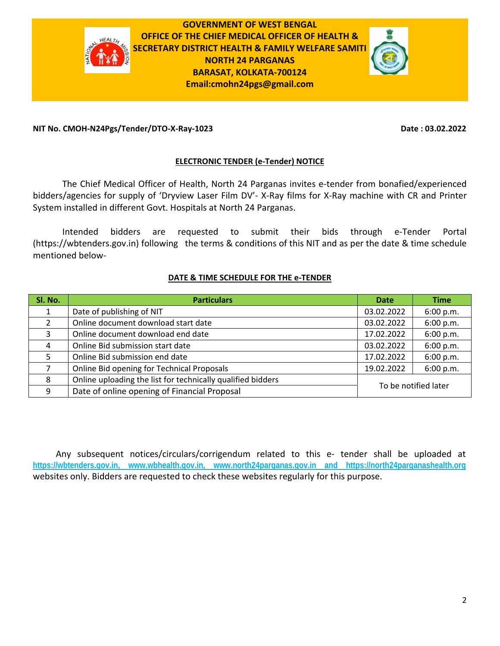

**GOVERNMENT OF WEST BENGAL OFFICE OF THE CHIEF MEDICAL OFFICER OF HEALTH & SECRETARY DISTRICT HEALTH & FAMILY WELFARE SAMITI NORTH 24 PARGANAS BARASAT, KOLKATA‐700124 Email:cmohn24pgs@gmail.com**



## **NIT No. CMOH‐N24Pgs/Tender/DTO‐X‐Ray‐1023 Date : 03.02.2022**

## **ELECTRONIC TENDER (e‐Tender) NOTICE**

The Chief Medical Officer of Health, North 24 Parganas invites e‐tender from bonafied/experienced bidders/agencies for supply of 'Dryview Laser Film DV'‐ X‐Ray films for X‐Ray machine with CR and Printer System installed in different Govt. Hospitals at North 24 Parganas.

Intended bidders are requested to submit their bids through e‐Tender Portal (https://wbtenders.gov.in) following the terms & conditions of this NIT and as per the date & time schedule mentioned below‐

## **DATE & TIME SCHEDULE FOR THE e‐TENDER**

| Sl. No.       | <b>Particulars</b>                                          | <b>Date</b>          | <b>Time</b> |
|---------------|-------------------------------------------------------------|----------------------|-------------|
|               | Date of publishing of NIT                                   | 03.02.2022           | 6:00 p.m.   |
| $\mathcal{P}$ | Online document download start date                         | 03.02.2022           | 6:00 p.m.   |
| 3             | Online document download end date                           | 17.02.2022           | 6:00 p.m.   |
| 4             | Online Bid submission start date                            | 03.02.2022           | 6:00 p.m.   |
| 5             | Online Bid submission end date                              | 17.02.2022           | 6:00 p.m.   |
|               | Online Bid opening for Technical Proposals                  | 19.02.2022           | 6:00 p.m.   |
| 8             | Online uploading the list for technically qualified bidders |                      |             |
| 9             | Date of online opening of Financial Proposal                | To be notified later |             |

Any subsequent notices/circulars/corrigendum related to this e- tender shall be uploaded at **https://wbtenders.gov.in, www.wbhealth.gov.in, www.north24parganas.gov.in and https://north24parganashealth.org** websites only. Bidders are requested to check these websites regularly for this purpose.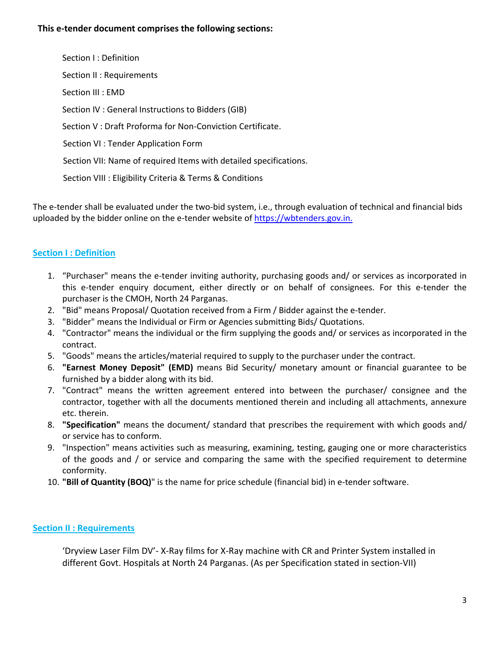## **This e‐tender document comprises the following sections:**

Section I : Definition Section II : Requirements Section III : EMD Section IV : General Instructions to Bidders (GIB) Section V : Draft Proforma for Non‐Conviction Certificate. Section VI : Tender Application Form Section VII: Name of required Items with detailed specifications. Section VIII : Eligibility Criteria & Terms & Conditions

The e-tender shall be evaluated under the two-bid system, i.e., through evaluation of technical and financial bids uploaded by the bidder online on the e-tender website of https://wbtenders.gov.in.

# **Section I : Definition**

- 1. "Purchaser" means the e‐tender inviting authority, purchasing goods and/ or services as incorporated in this e-tender enquiry document, either directly or on behalf of consignees. For this e-tender the purchaser is the CMOH, North 24 Parganas.
- 2. "Bid" means Proposal/ Quotation received from a Firm / Bidder against the e-tender.
- 3. "Bidder" means the Individual or Firm or Agencies submitting Bids/ Quotations.
- 4. "Contractor" means the individual or the firm supplying the goods and/ or services as incorporated in the contract.
- 5. "Goods" means the articles/material required to supply to the purchaser under the contract.
- 6. **"Earnest Money Deposit" (EMD)** means Bid Security/ monetary amount or financial guarantee to be furnished by a bidder along with its bid.
- 7. "Contract" means the written agreement entered into between the purchaser/ consignee and the contractor, together with all the documents mentioned therein and including all attachments, annexure etc. therein.
- 8. **"Specification"** means the document/ standard that prescribes the requirement with which goods and/ or service has to conform.
- 9. "Inspection" means activities such as measuring, examining, testing, gauging one or more characteristics of the goods and / or service and comparing the same with the specified requirement to determine conformity.
- 10. **"Bill of Quantity (BOQ)**" is the name for price schedule (financial bid) in e‐tender software.

# **Section II : Requirements**

'Dryview Laser Film DV'‐ X‐Ray films for X‐Ray machine with CR and Printer System installed in different Govt. Hospitals at North 24 Parganas. (As per Specification stated in section‐VII)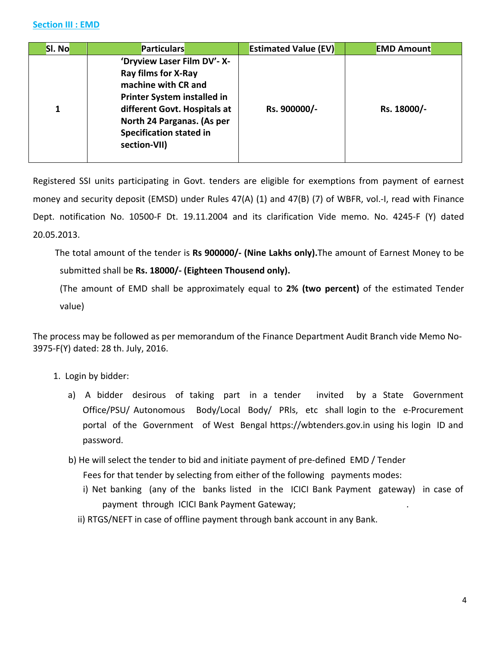| SI. No | <b>Particulars</b>                                                                                                                                                                                                                     | <b>Estimated Value (EV)</b> | <b>EMD Amount</b> |
|--------|----------------------------------------------------------------------------------------------------------------------------------------------------------------------------------------------------------------------------------------|-----------------------------|-------------------|
| 1      | 'Dryview Laser Film DV'- X-<br><b>Ray films for X-Ray</b><br>machine with CR and<br><b>Printer System installed in</b><br>different Govt. Hospitals at<br>North 24 Parganas. (As per<br><b>Specification stated in</b><br>section-VII) | Rs. 900000/-                | Rs. 18000/-       |

Registered SSI units participating in Govt. tenders are eligible for exemptions from payment of earnest money and security deposit (EMSD) under Rules 47(A) (1) and 47(B) (7) of WBFR, vol.‐I, read with Finance Dept. notification No. 10500‐F Dt. 19.11.2004 and its clarification Vide memo. No. 4245‐F (Y) dated 20.05.2013.

 The total amount of the tender is **Rs 900000/‐ (Nine Lakhs only).**The amount of Earnest Money to be submitted shall be **Rs. 18000/‐ (Eighteen Thousend only).**

(The amount of EMD shall be approximately equal to **2% (two percent)** of the estimated Tender value)

The process may be followed as per memorandum of the Finance Department Audit Branch vide Memo No‐ 3975‐F(Y) dated: 28 th. July, 2016.

- 1. Login by bidder:
	- a) A bidder desirous of taking part in a tender invited by a State Government Office/PSU/ Autonomous Body/Local Body/ PRIs, etc shall login to the e-Procurement portal of the Government of West Bengal https://wbtenders.gov.in using his login ID and password.
	- b) He will select the tender to bid and initiate payment of pre-defined EMD / Tender Fees for that tender by selecting from either of the following payments modes:
		- i) Net banking (any of the banks listed in the ICICI Bank Payment gateway) in case of payment through ICICI Bank Payment Gateway;
		- ii) RTGS/NEFT in case of offline payment through bank account in any Bank.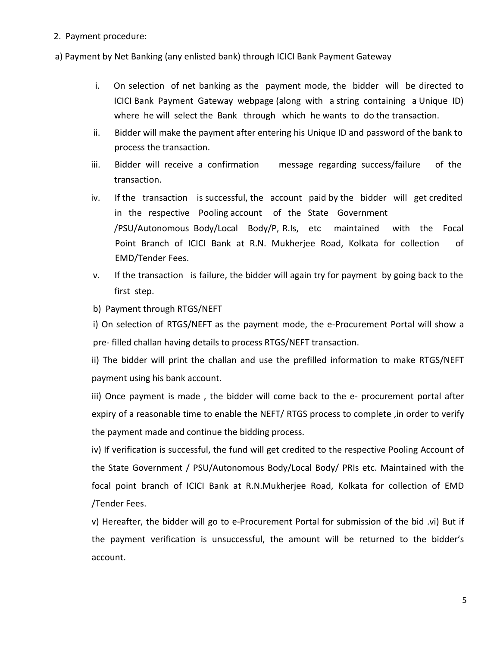2. Payment procedure:

a) Payment by Net Banking (any enlisted bank) through ICICI Bank Payment Gateway

- i. On selection of net banking as the payment mode, the bidder will be directed to ICICI Bank Payment Gateway webpage (along with a string containing a Unique ID) where he will select the Bank through which he wants to do the transaction.
- ii. Bidder will make the payment after entering his Unique ID and password of the bank to process the transaction.
- iii. Bidder will receive a confirmation message regarding success/failure of the transaction.
- iv. If the transaction is successful, the account paid by the bidder will get credited in the respective Pooling account of the State Government /PSU/Autonomous Body/Local Body/P, R.Is, etc maintained with the Focal Point Branch of ICICI Bank at R.N. Mukherjee Road, Kolkata for collection of EMD/Tender Fees.
- v. If the transaction is failure, the bidder will again try for payment by going back to the first step.
- b) Payment through RTGS/NEFT

i) On selection of RTGS/NEFT as the payment mode, the e-Procurement Portal will show a pre‐ filled challan having details to process RTGS/NEFT transaction.

ii) The bidder will print the challan and use the prefilled information to make RTGS/NEFT payment using his bank account.

iii) Once payment is made, the bidder will come back to the e- procurement portal after expiry of a reasonable time to enable the NEFT/RTGS process to complete, in order to verify the payment made and continue the bidding process.

iv) If verification is successful, the fund will get credited to the respective Pooling Account of the State Government / PSU/Autonomous Body/Local Body/ PRIs etc. Maintained with the focal point branch of ICICI Bank at R.N.Mukherjee Road, Kolkata for collection of EMD /Tender Fees.

v) Hereafter, the bidder will go to e‐Procurement Portal for submission of the bid .vi) But if the payment verification is unsuccessful, the amount will be returned to the bidder's account.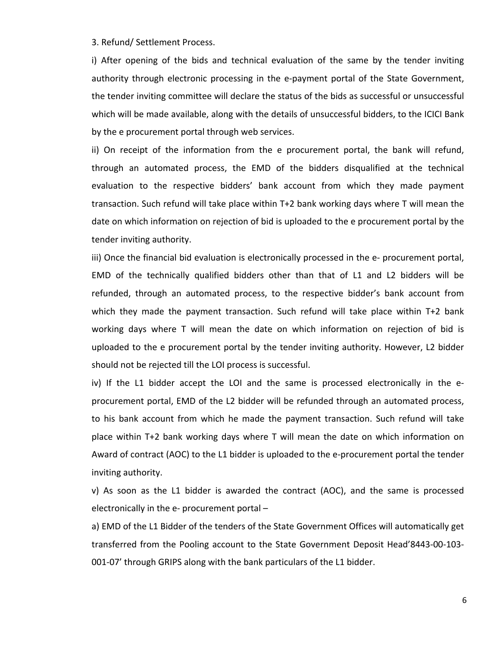3. Refund/ Settlement Process.

i) After opening of the bids and technical evaluation of the same by the tender inviting authority through electronic processing in the e-payment portal of the State Government, the tender inviting committee will declare the status of the bids as successful or unsuccessful which will be made available, along with the details of unsuccessful bidders, to the ICICI Bank by the e procurement portal through web services.

ii) On receipt of the information from the e procurement portal, the bank will refund, through an automated process, the EMD of the bidders disqualified at the technical evaluation to the respective bidders' bank account from which they made payment transaction. Such refund will take place within T+2 bank working days where T will mean the date on which information on rejection of bid is uploaded to the e procurement portal by the tender inviting authority.

iii) Once the financial bid evaluation is electronically processed in the e‐ procurement portal, EMD of the technically qualified bidders other than that of L1 and L2 bidders will be refunded, through an automated process, to the respective bidder's bank account from which they made the payment transaction. Such refund will take place within T+2 bank working days where T will mean the date on which information on rejection of bid is uploaded to the e procurement portal by the tender inviting authority. However, L2 bidder should not be rejected till the LOI process is successful.

iv) If the L1 bidder accept the LOI and the same is processed electronically in the e‐ procurement portal, EMD of the L2 bidder will be refunded through an automated process, to his bank account from which he made the payment transaction. Such refund will take place within T+2 bank working days where T will mean the date on which information on Award of contract (AOC) to the L1 bidder is uploaded to the e-procurement portal the tender inviting authority.

v) As soon as the L1 bidder is awarded the contract (AOC), and the same is processed electronically in the e‐ procurement portal –

a) EMD of the L1 Bidder of the tenders of the State Government Offices will automatically get transferred from the Pooling account to the State Government Deposit Head'8443‐00‐103‐ 001‐07' through GRIPS along with the bank particulars of the L1 bidder.

6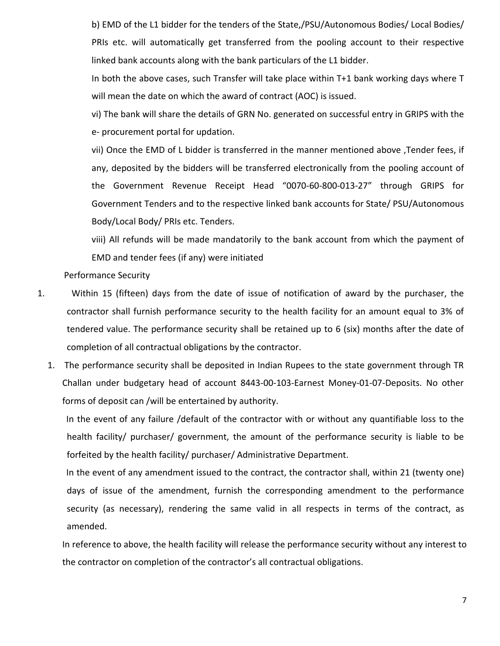b) EMD of the L1 bidder for the tenders of the State,/PSU/Autonomous Bodies/ Local Bodies/ PRIs etc. will automatically get transferred from the pooling account to their respective linked bank accounts along with the bank particulars of the L1 bidder.

In both the above cases, such Transfer will take place within T+1 bank working days where T will mean the date on which the award of contract (AOC) is issued.

vi) The bank will share the details of GRN No. generated on successful entry in GRIPS with the e‐ procurement portal for updation.

vii) Once the EMD of L bidder is transferred in the manner mentioned above ,Tender fees, if any, deposited by the bidders will be transferred electronically from the pooling account of the Government Revenue Receipt Head "0070‐60‐800‐013‐27" through GRIPS for Government Tenders and to the respective linked bank accounts for State/ PSU/Autonomous Body/Local Body/ PRIs etc. Tenders.

viii) All refunds will be made mandatorily to the bank account from which the payment of EMD and tender fees (if any) were initiated

Performance Security

- 1. Within 15 (fifteen) days from the date of issue of notification of award by the purchaser, the contractor shall furnish performance security to the health facility for an amount equal to 3% of tendered value. The performance security shall be retained up to 6 (six) months after the date of completion of all contractual obligations by the contractor.
	- 1. The performance security shall be deposited in Indian Rupees to the state government through TR Challan under budgetary head of account 8443‐00‐103‐Earnest Money‐01‐07‐Deposits. No other forms of deposit can /will be entertained by authority.

In the event of any failure /default of the contractor with or without any quantifiable loss to the health facility/ purchaser/ government, the amount of the performance security is liable to be forfeited by the health facility/ purchaser/ Administrative Department.

In the event of any amendment issued to the contract, the contractor shall, within 21 (twenty one) days of issue of the amendment, furnish the corresponding amendment to the performance security (as necessary), rendering the same valid in all respects in terms of the contract, as amended.

In reference to above, the health facility will release the performance security without any interest to the contractor on completion of the contractor's all contractual obligations.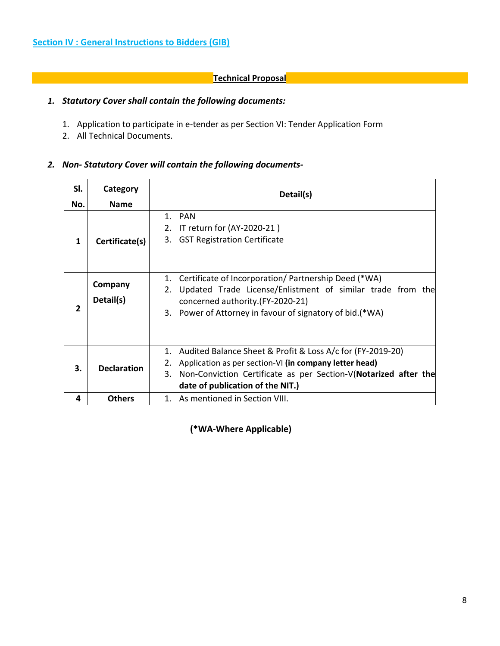# **Technical Proposal**

# *1. Statutory Cover shall contain the following documents:*

- 1. Application to participate in e-tender as per Section VI: Tender Application Form
- 2. All Technical Documents.

## *2. Non‐ Statutory Cover will contain the following documents‐*

| SI.<br>No. | Category<br><b>Name</b> | Detail(s)                                                                                                                                                                                                                               |  |
|------------|-------------------------|-----------------------------------------------------------------------------------------------------------------------------------------------------------------------------------------------------------------------------------------|--|
| 1          | Certificate(s)          | 1. PAN<br>IT return for (AY-2020-21)<br>2.<br><b>GST Registration Certificate</b><br>3.                                                                                                                                                 |  |
| 2          | Company<br>Detail(s)    | Certificate of Incorporation/ Partnership Deed (*WA)<br>1.<br>Updated Trade License/Enlistment of similar trade from the<br>2.<br>concerned authority.(FY-2020-21)<br>3. Power of Attorney in favour of signatory of bid.(*WA)          |  |
| 3.         | <b>Declaration</b>      | Audited Balance Sheet & Profit & Loss A/c for (FY-2019-20)<br>1.<br>Application as per section-VI (in company letter head)<br>Non-Conviction Certificate as per Section-V(Notarized after the<br>3.<br>date of publication of the NIT.) |  |
| 4          | <b>Others</b>           | 1. As mentioned in Section VIII.                                                                                                                                                                                                        |  |

 **(\*WA‐Where Applicable)**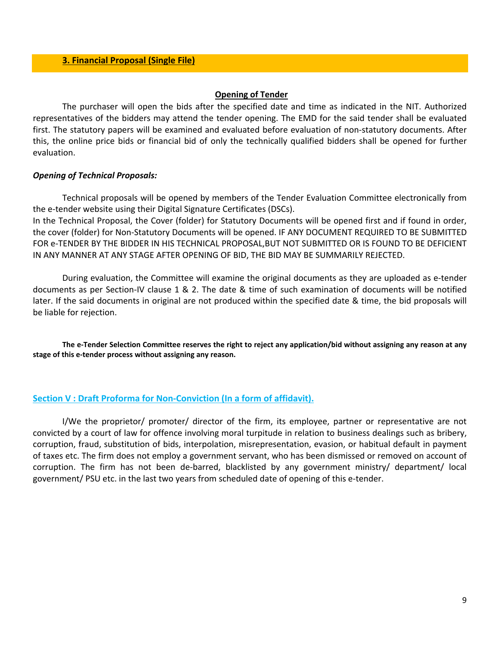#### **Opening of Tender**

The purchaser will open the bids after the specified date and time as indicated in the NIT. Authorized representatives of the bidders may attend the tender opening. The EMD for the said tender shall be evaluated first. The statutory papers will be examined and evaluated before evaluation of non-statutory documents. After this, the online price bids or financial bid of only the technically qualified bidders shall be opened for further evaluation.

#### *Opening of Technical Proposals:*

Technical proposals will be opened by members of the Tender Evaluation Committee electronically from the e-tender website using their Digital Signature Certificates (DSCs).

In the Technical Proposal, the Cover (folder) for Statutory Documents will be opened first and if found in order, the cover (folder) for Non‐Statutory Documents will be opened. IF ANY DOCUMENT REQUIRED TO BE SUBMITTED FOR e‐TENDER BY THE BIDDER IN HIS TECHNICAL PROPOSAL,BUT NOT SUBMITTED OR IS FOUND TO BE DEFICIENT IN ANY MANNER AT ANY STAGE AFTER OPENING OF BID, THE BID MAY BE SUMMARILY REJECTED.

During evaluation, the Committee will examine the original documents as they are uploaded as e‐tender documents as per Section‐IV clause 1 & 2. The date & time of such examination of documents will be notified later. If the said documents in original are not produced within the specified date & time, the bid proposals will be liable for rejection.

The e-Tender Selection Committee reserves the right to reject any application/bid without assigning any reason at any **stage of this e‐tender process without assigning any reason.**

## **Section V : Draft Proforma for Non‐Conviction (In a form of affidavit).**

I/We the proprietor/ promoter/ director of the firm, its employee, partner or representative are not convicted by a court of law for offence involving moral turpitude in relation to business dealings such as bribery, corruption, fraud, substitution of bids, interpolation, misrepresentation, evasion, or habitual default in payment of taxes etc. The firm does not employ a government servant, who has been dismissed or removed on account of corruption. The firm has not been de‐barred, blacklisted by any government ministry/ department/ local government/ PSU etc. in the last two years from scheduled date of opening of this e‐tender.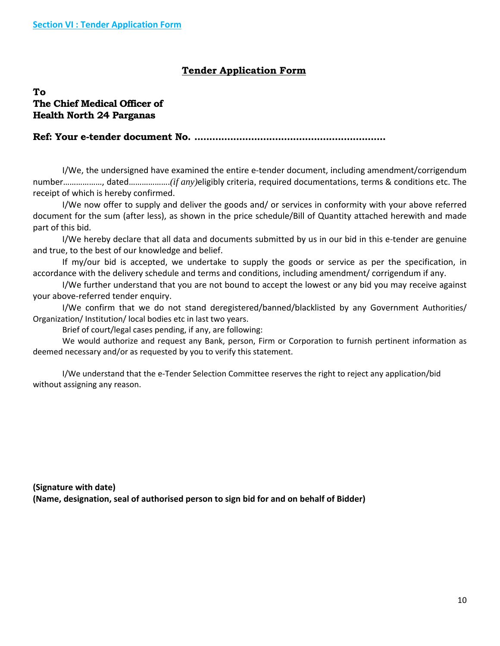# **Tender Application Form**

# **To The Chief Medical Officer of Health North 24 Parganas**

**Ref: Your e-tender document No. ................................................................** 

I/We, the undersigned have examined the entire e‐tender document, including amendment/corrigendum number………………, dated……………….*(if any)*eligibly criteria*,* required documentations, terms & conditions etc. The receipt of which is hereby confirmed.

I/We now offer to supply and deliver the goods and/ or services in conformity with your above referred document for the sum (after less), as shown in the price schedule/Bill of Quantity attached herewith and made part of this bid.

I/We hereby declare that all data and documents submitted by us in our bid in this e‐tender are genuine and true, to the best of our knowledge and belief.

If my/our bid is accepted, we undertake to supply the goods or service as per the specification, in accordance with the delivery schedule and terms and conditions, including amendment/ corrigendum if any.

I/We further understand that you are not bound to accept the lowest or any bid you may receive against your above‐referred tender enquiry.

I/We confirm that we do not stand deregistered/banned/blacklisted by any Government Authorities/ Organization/ Institution/ local bodies etc in last two years.

Brief of court/legal cases pending, if any, are following:

We would authorize and request any Bank, person, Firm or Corporation to furnish pertinent information as deemed necessary and/or as requested by you to verify this statement.

I/We understand that the e‐Tender Selection Committee reserves the right to reject any application/bid without assigning any reason.

**(Signature with date) (Name, designation, seal of authorised person to sign bid for and on behalf of Bidder)**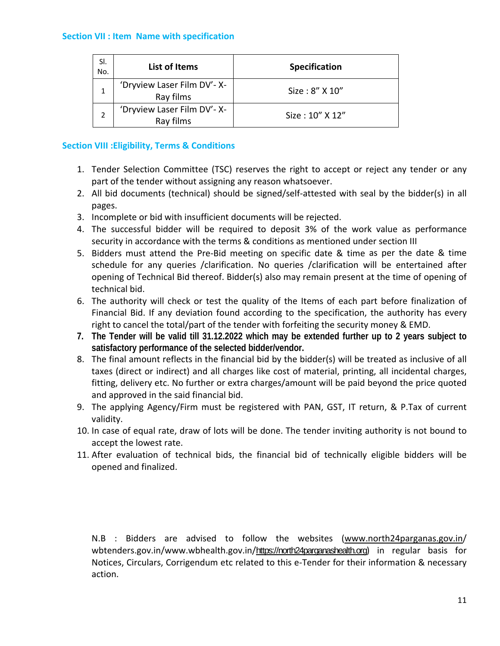## **Section VII : Item Name with specification**

| SI.<br>No. | <b>List of Items</b>                     | <b>Specification</b> |
|------------|------------------------------------------|----------------------|
|            | 'Dryview Laser Film DV'- X-<br>Ray films | Size: 8" X 10"       |
|            | 'Dryview Laser Film DV'- X-<br>Ray films | Size: 10" X 12"      |

## **Section VIII :Eligibility, Terms & Conditions**

- 1. Tender Selection Committee (TSC) reserves the right to accept or reject any tender or any part of the tender without assigning any reason whatsoever.
- 2. All bid documents (technical) should be signed/self‐attested with seal by the bidder(s) in all pages.
- 3. Incomplete or bid with insufficient documents will be rejected.
- 4. The successful bidder will be required to deposit 3% of the work value as performance security in accordance with the terms & conditions as mentioned under section III
- 5. Bidders must attend the Pre-Bid meeting on specific date & time as per the date & time schedule for any queries /clarification. No queries /clarification will be entertained after opening of Technical Bid thereof. Bidder(s) also may remain present at the time of opening of technical bid.
- 6. The authority will check or test the quality of the Items of each part before finalization of Financial Bid. If any deviation found according to the specification, the authority has every right to cancel the total/part of the tender with forfeiting the security money & EMD.
- **7. The Tender will be valid till 31.12.2022 which may be extended further up to 2 years subject to satisfactory performance of the selected bidder/vendor.**
- 8. The final amount reflects in the financial bid by the bidder(s) will be treated as inclusive of all taxes (direct or indirect) and all charges like cost of material, printing, all incidental charges, fitting, delivery etc. No further or extra charges/amount will be paid beyond the price quoted and approved in the said financial bid.
- 9. The applying Agency/Firm must be registered with PAN, GST, IT return, & P.Tax of current validity.
- 10. In case of equal rate, draw of lots will be done. The tender inviting authority is not bound to accept the lowest rate.
- 11. After evaluation of technical bids, the financial bid of technically eligible bidders will be opened and finalized.

N.B : Bidders are advised to follow the websites (www.north24parganas.gov.in/ wbtenders.gov.in/www.wbhealth.gov.in/https://north24parganashealth.org) in regular basis for Notices, Circulars, Corrigendum etc related to this e‐Tender for their information & necessary action.